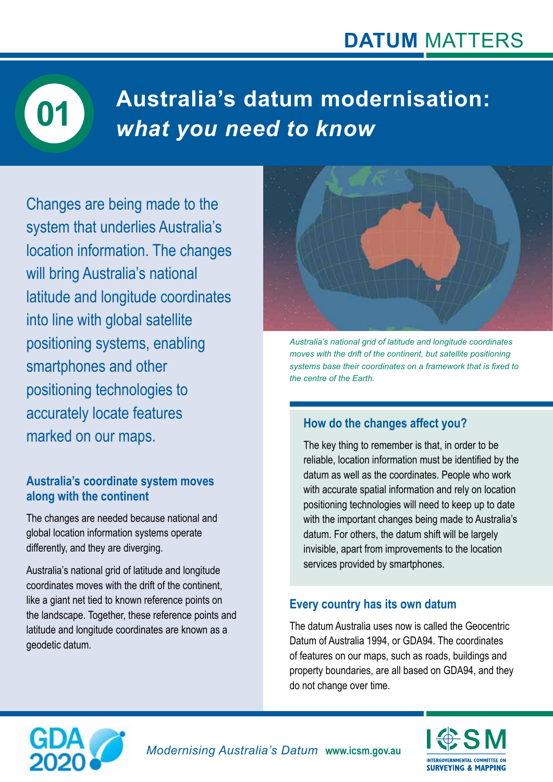

# **Australia's datum modernisation:**  *what you need to know* **01**

Changes are being made to the system that underlies Australia's location information. The changes will bring Australia's national latitude and longitude coordinates into line with global satellite positioning systems, enabling smartphones and other positioning technologies to accurately locate features marked on our maps.

## **Australia's coordinate system moves along with the continent**

The changes are needed because national and global location information systems operate differently, and they are diverging.

Australia's national grid of latitude and longitude coordinates moves with the drift of the continent, like a giant net tied to known reference points on the landscape. Together, these reference points and latitude and longitude coordinates are known as a geodetic datum.



*Australia's national grid of latitude and longitude coordinates moves with the drift of the continent, but satellite positioning systems base their coordinates on a framework that is fixed to the centre of the Earth.*

# **How do the changes affect you?**

The key thing to remember is that, in order to be reliable, location information must be identified by the datum as well as the coordinates. People who work with accurate spatial information and rely on location positioning technologies will need to keep up to date with the important changes being made to Australia's datum. For others, the datum shift will be largely invisible, apart from improvements to the location services provided by smartphones.

# **Every country has its own datum**

The datum Australia uses now is called the Geocentric Datum of Australia 1994, or GDA94. The coordinates of features on our maps, such as roads, buildings and property boundaries, are all based on GDA94, and they do not change over time.



**INTERGOVERNMENTAL COMMITTEE OF SURVEYING & MAPPING**